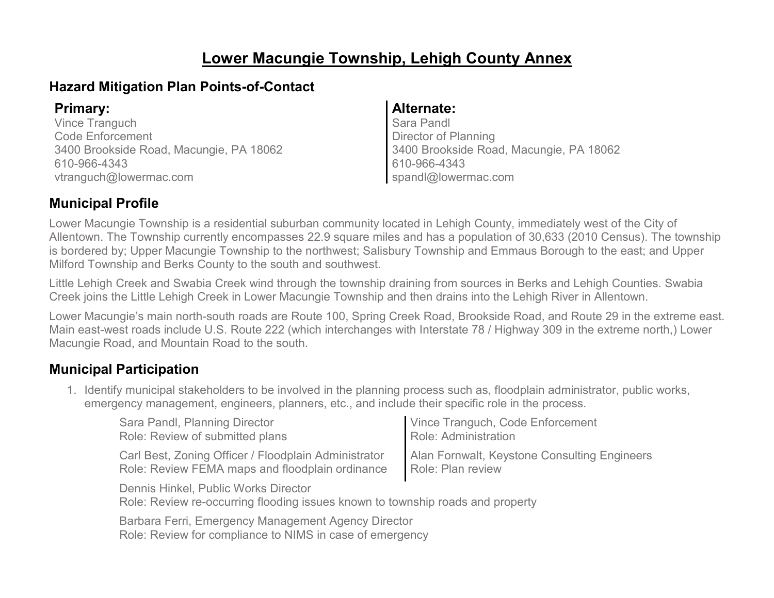# **Lower Macungie Township, Lehigh County Annex**

### **Hazard Mitigation Plan Points-of-Contact**

Vince Tranguch Code Enforcement 3400 Brookside Road, Macungie, PA 18062 610-966-4343 vtranguch@lowermac.com

### **Primary: Alternate:**

Sara Pandl Director of Planning 3400 Brookside Road, Macungie, PA 18062 610-966-4343 spandl@lowermac.com

### **Municipal Profile**

Lower Macungie Township is a residential suburban community located in Lehigh County, immediately west of the City of Allentown. The Township currently encompasses 22.9 square miles and has a population of 30,633 (2010 Census). The township is bordered by; Upper Macungie Township to the northwest; Salisbury Township and Emmaus Borough to the east; and Upper Milford Township and Berks County to the south and southwest.

Little Lehigh Creek and Swabia Creek wind through the township draining from sources in Berks and Lehigh Counties. Swabia Creek joins the Little Lehigh Creek in Lower Macungie Township and then drains into the Lehigh River in Allentown.

Lower Macungie's main north-south roads are Route 100, Spring Creek Road, Brookside Road, and Route 29 in the extreme east. Main east-west roads include U.S. Route 222 (which interchanges with Interstate 78 / Highway 309 in the extreme north,) Lower Macungie Road, and Mountain Road to the south.

### **Municipal Participation**

1. Identify municipal stakeholders to be involved in the planning process such as, floodplain administrator, public works, emergency management, engineers, planners, etc., and include their specific role in the process.

| Sara Pandl, Planning Director                                                                                          | Vince Tranguch, Code Enforcement             |  |  |  |  |  |  |  |  |
|------------------------------------------------------------------------------------------------------------------------|----------------------------------------------|--|--|--|--|--|--|--|--|
| Role: Review of submitted plans                                                                                        | <b>Role: Administration</b>                  |  |  |  |  |  |  |  |  |
| Carl Best, Zoning Officer / Floodplain Administrator                                                                   | Alan Fornwalt, Keystone Consulting Engineers |  |  |  |  |  |  |  |  |
| Role: Review FEMA maps and floodplain ordinance                                                                        | Role: Plan review                            |  |  |  |  |  |  |  |  |
| Dennis Hinkel, Public Works Director<br>Role: Review re-occurring flooding issues known to township roads and property |                                              |  |  |  |  |  |  |  |  |

Barbara Ferri, Emergency Management Agency Director Role: Review for compliance to NIMS in case of emergency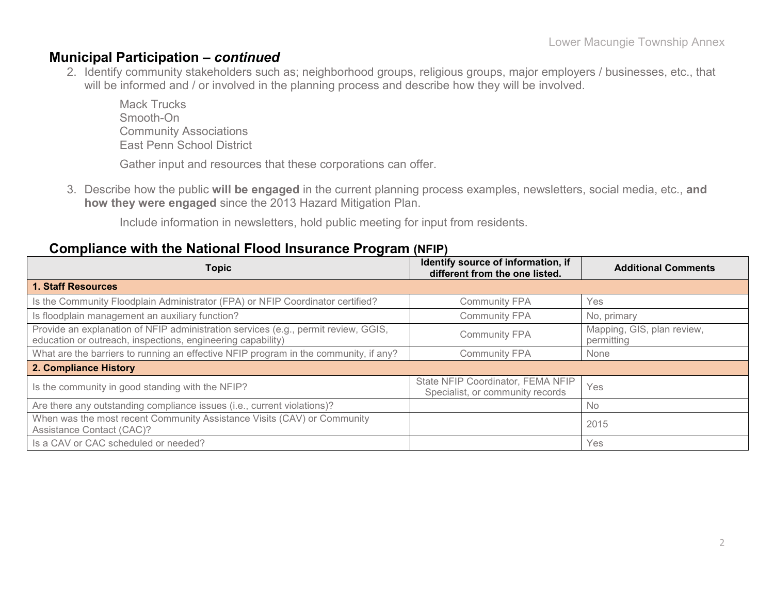### **Municipal Participation –** *continued*

2. Identify community stakeholders such as; neighborhood groups, religious groups, major employers / businesses, etc., that will be informed and / or involved in the planning process and describe how they will be involved.

Mack Trucks Smooth-On Community Associations East Penn School District

Gather input and resources that these corporations can offer.

3. Describe how the public **will be engaged** in the current planning process examples, newsletters, social media, etc., **and how they were engaged** since the 2013 Hazard Mitigation Plan.

Include information in newsletters, hold public meeting for input from residents.

#### **Compliance with the National Flood Insurance Program (NFIP)**

| <b>Topic</b>                                                                                                                                      | Identify source of information, if<br>different from the one listed.  | <b>Additional Comments</b>               |
|---------------------------------------------------------------------------------------------------------------------------------------------------|-----------------------------------------------------------------------|------------------------------------------|
| <b>1. Staff Resources</b>                                                                                                                         |                                                                       |                                          |
| Is the Community Floodplain Administrator (FPA) or NFIP Coordinator certified?                                                                    | <b>Community FPA</b>                                                  | Yes                                      |
| Is floodplain management an auxiliary function?                                                                                                   | <b>Community FPA</b>                                                  | No, primary                              |
| Provide an explanation of NFIP administration services (e.g., permit review, GGIS,<br>education or outreach, inspections, engineering capability) | <b>Community FPA</b>                                                  | Mapping, GIS, plan review,<br>permitting |
| What are the barriers to running an effective NFIP program in the community, if any?                                                              | <b>Community FPA</b>                                                  | None                                     |
| 2. Compliance History                                                                                                                             |                                                                       |                                          |
| Is the community in good standing with the NFIP?                                                                                                  | State NFIP Coordinator, FEMA NFIP<br>Specialist, or community records | Yes                                      |
| Are there any outstanding compliance issues (i.e., current violations)?                                                                           |                                                                       | No                                       |
| When was the most recent Community Assistance Visits (CAV) or Community<br>Assistance Contact (CAC)?                                              |                                                                       | 2015                                     |
| Is a CAV or CAC scheduled or needed?                                                                                                              |                                                                       | Yes                                      |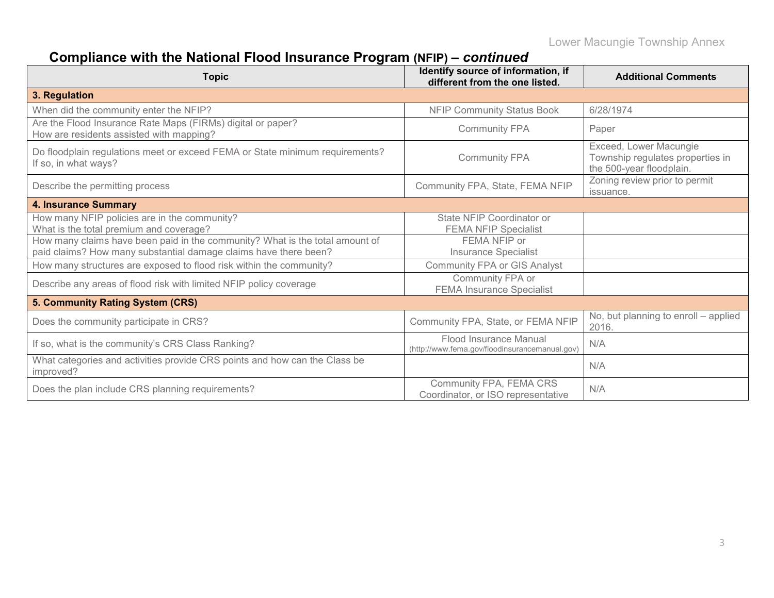# **Compliance with the National Flood Insurance Program (NFIP) –** *continued*

| <b>Topic</b>                                                                                                                                     | Identify source of information, if<br>different from the one listed.     | <b>Additional Comments</b>                                                             |
|--------------------------------------------------------------------------------------------------------------------------------------------------|--------------------------------------------------------------------------|----------------------------------------------------------------------------------------|
| 3. Regulation                                                                                                                                    |                                                                          |                                                                                        |
| When did the community enter the NFIP?                                                                                                           | <b>NFIP Community Status Book</b>                                        | 6/28/1974                                                                              |
| Are the Flood Insurance Rate Maps (FIRMs) digital or paper?<br>How are residents assisted with mapping?                                          | <b>Community FPA</b>                                                     | Paper                                                                                  |
| Do floodplain regulations meet or exceed FEMA or State minimum requirements?<br>If so, in what ways?                                             | <b>Community FPA</b>                                                     | Exceed, Lower Macungie<br>Township regulates properties in<br>the 500-year floodplain. |
| Describe the permitting process                                                                                                                  | Community FPA, State, FEMA NFIP                                          | Zoning review prior to permit<br>issuance.                                             |
| <b>4. Insurance Summary</b>                                                                                                                      |                                                                          |                                                                                        |
| How many NFIP policies are in the community?<br>What is the total premium and coverage?                                                          | State NFIP Coordinator or<br><b>FEMA NFIP Specialist</b>                 |                                                                                        |
| How many claims have been paid in the community? What is the total amount of<br>paid claims? How many substantial damage claims have there been? | FEMA NFIP or<br><b>Insurance Specialist</b>                              |                                                                                        |
| How many structures are exposed to flood risk within the community?                                                                              | <b>Community FPA or GIS Analyst</b>                                      |                                                                                        |
| Describe any areas of flood risk with limited NFIP policy coverage                                                                               | Community FPA or<br><b>FEMA Insurance Specialist</b>                     |                                                                                        |
| 5. Community Rating System (CRS)                                                                                                                 |                                                                          |                                                                                        |
| Does the community participate in CRS?                                                                                                           | Community FPA, State, or FEMA NFIP                                       | No, but planning to enroll – applied<br>2016.                                          |
| If so, what is the community's CRS Class Ranking?                                                                                                | Flood Insurance Manual<br>(http://www.fema.gov/floodinsurancemanual.gov) | N/A                                                                                    |
| What categories and activities provide CRS points and how can the Class be<br>improved?                                                          |                                                                          | N/A                                                                                    |
| Does the plan include CRS planning requirements?                                                                                                 | Community FPA, FEMA CRS<br>Coordinator, or ISO representative            | N/A                                                                                    |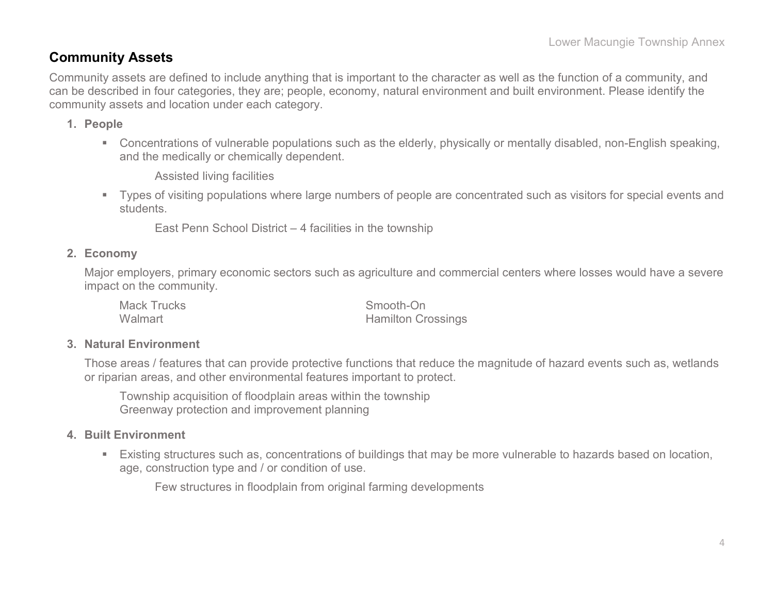### **Community Assets**

Community assets are defined to include anything that is important to the character as well as the function of a community, and can be described in four categories, they are; people, economy, natural environment and built environment. Please identify the community assets and location under each category.

#### **1. People**

 Concentrations of vulnerable populations such as the elderly, physically or mentally disabled, non-English speaking, and the medically or chemically dependent.

Assisted living facilities

 Types of visiting populations where large numbers of people are concentrated such as visitors for special events and students.

East Penn School District – 4 facilities in the township

#### **2. Economy**

Major employers, primary economic sectors such as agriculture and commercial centers where losses would have a severe impact on the community.

| <b>Mack Trucks</b> | Smooth-On                 |
|--------------------|---------------------------|
| Walmart            | <b>Hamilton Crossings</b> |

#### **3. Natural Environment**

Those areas / features that can provide protective functions that reduce the magnitude of hazard events such as, wetlands or riparian areas, and other environmental features important to protect.

Township acquisition of floodplain areas within the township Greenway protection and improvement planning

#### **4. Built Environment**

 Existing structures such as, concentrations of buildings that may be more vulnerable to hazards based on location, age, construction type and / or condition of use.

Few structures in floodplain from original farming developments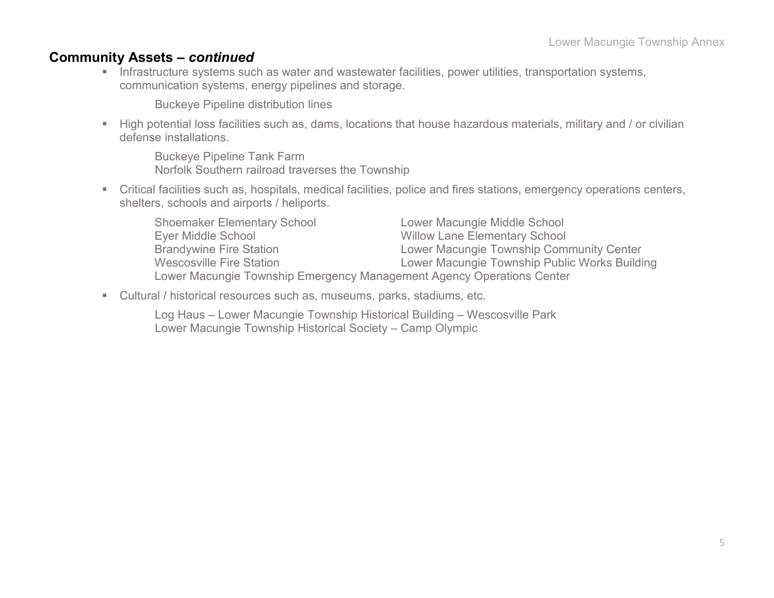### **Community Assets –** *continued*

**Infrastructure systems such as water and wastewater facilities, power utilities, transportation systems,** communication systems, energy pipelines and storage.

Buckeye Pipeline distribution lines

High potential loss facilities such as, dams, locations that house hazardous materials, military and / or civilian defense installations.

Buckeye Pipeline Tank Farm Norfolk Southern railroad traverses the Township

 Critical facilities such as, hospitals, medical facilities, police and fires stations, emergency operations centers, shelters, schools and airports / heliports.

| <b>Shoemaker Elementary School</b>                                    | Lower Macungie Middle School                  |  |  |  |  |  |  |
|-----------------------------------------------------------------------|-----------------------------------------------|--|--|--|--|--|--|
| Eyer Middle School                                                    | <b>Willow Lane Elementary School</b>          |  |  |  |  |  |  |
| <b>Brandywine Fire Station</b>                                        | Lower Macungie Township Community Center      |  |  |  |  |  |  |
| <b>Wescosville Fire Station</b>                                       | Lower Macungie Township Public Works Building |  |  |  |  |  |  |
| Lower Macungie Township Emergency Management Agency Operations Center |                                               |  |  |  |  |  |  |

Cultural / historical resources such as, museums, parks, stadiums, etc.

Log Haus – Lower Macungie Township Historical Building – Wescosville Park Lower Macungie Township Historical Society – Camp Olympic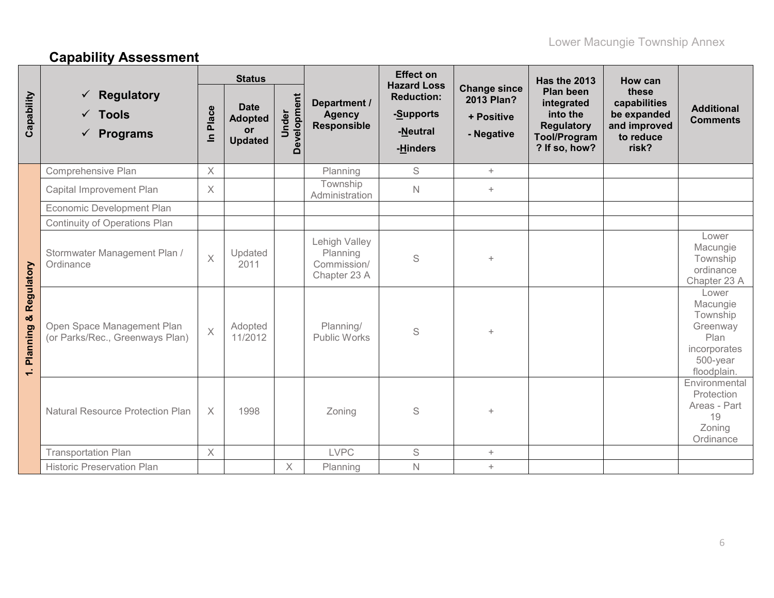# **Capability Assessment**

|                                           |                                                               | <b>Status</b>           |                                                              |                      |                                                          | <b>Effect on</b><br><b>Hazard Loss</b>                 |                                                               | <b>Has the 2013</b>                                                                              | How can                                                                    |                                                                                              |
|-------------------------------------------|---------------------------------------------------------------|-------------------------|--------------------------------------------------------------|----------------------|----------------------------------------------------------|--------------------------------------------------------|---------------------------------------------------------------|--------------------------------------------------------------------------------------------------|----------------------------------------------------------------------------|----------------------------------------------------------------------------------------------|
| Capability                                | Regulatory<br>✓<br><b>Tools</b><br>✓<br><b>Programs</b><br>✓  | Place<br>$\mathbf{a}$   | <b>Date</b><br><b>Adopted</b><br><b>or</b><br><b>Updated</b> | Development<br>Under | Department /<br><b>Agency</b><br><b>Responsible</b>      | <b>Reduction:</b><br>-Supports<br>-Neutral<br>-Hinders | <b>Change since</b><br>2013 Plan?<br>+ Positive<br>- Negative | Plan been<br>integrated<br>into the<br><b>Regulatory</b><br><b>Tool/Program</b><br>? If so, how? | these<br>capabilities<br>be expanded<br>and improved<br>to reduce<br>risk? | <b>Additional</b><br><b>Comments</b>                                                         |
|                                           | Comprehensive Plan                                            | $\times$                |                                                              |                      | Planning                                                 | S                                                      | $+$                                                           |                                                                                                  |                                                                            |                                                                                              |
|                                           | Capital Improvement Plan                                      | $\times$                |                                                              |                      | Township<br>Administration                               | $\mathsf{N}$                                           | $^{+}$                                                        |                                                                                                  |                                                                            |                                                                                              |
|                                           | Economic Development Plan                                     |                         |                                                              |                      |                                                          |                                                        |                                                               |                                                                                                  |                                                                            |                                                                                              |
| & Regulatory<br><b>Planning</b><br>$\div$ | Continuity of Operations Plan                                 |                         |                                                              |                      |                                                          |                                                        |                                                               |                                                                                                  |                                                                            |                                                                                              |
|                                           | Stormwater Management Plan /<br>Ordinance                     | $\overline{\mathsf{X}}$ | Updated<br>2011                                              |                      | Lehigh Valley<br>Planning<br>Commission/<br>Chapter 23 A | S                                                      | $+$                                                           |                                                                                                  |                                                                            | Lower<br>Macungie<br>Township<br>ordinance<br>Chapter 23 A                                   |
|                                           | Open Space Management Plan<br>(or Parks/Rec., Greenways Plan) | $\times$                | Adopted<br>11/2012                                           |                      | Planning/<br><b>Public Works</b>                         | S                                                      | $+$                                                           |                                                                                                  |                                                                            | Lower<br>Macungie<br>Township<br>Greenway<br>Plan<br>incorporates<br>500-year<br>floodplain. |
|                                           | <b>Natural Resource Protection Plan</b>                       | $\times$                | 1998                                                         |                      | Zoning                                                   | S                                                      | $\ddot{}$                                                     |                                                                                                  |                                                                            | Environmental<br>Protection<br>Areas - Part<br>19<br>Zoning<br>Ordinance                     |
|                                           | <b>Transportation Plan</b>                                    | X                       |                                                              |                      | <b>LVPC</b>                                              | S                                                      | $+$                                                           |                                                                                                  |                                                                            |                                                                                              |
|                                           | <b>Historic Preservation Plan</b>                             |                         |                                                              | $\times$             | Planning                                                 | $\mathsf N$                                            | $^{+}$                                                        |                                                                                                  |                                                                            |                                                                                              |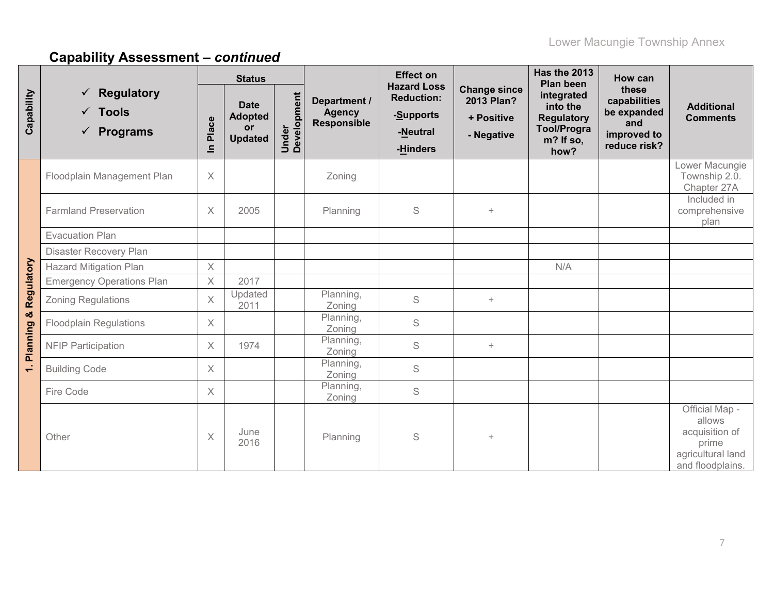|                          |                                                                       | <b>Status</b>           |                                                              |                      |                                              | <b>Effect on</b>                                                             |                                                               | <b>Has the 2013</b><br>Plan been                                                          | How can                                                                    |                                                                                              |
|--------------------------|-----------------------------------------------------------------------|-------------------------|--------------------------------------------------------------|----------------------|----------------------------------------------|------------------------------------------------------------------------------|---------------------------------------------------------------|-------------------------------------------------------------------------------------------|----------------------------------------------------------------------------|----------------------------------------------------------------------------------------------|
| Capability               | <b>Regulatory</b><br>✓<br>$\checkmark$ Tools<br>$\checkmark$ Programs | Place<br>$\overline{=}$ | <b>Date</b><br><b>Adopted</b><br><b>or</b><br><b>Updated</b> | Under<br>Development | Department /<br><b>Agency</b><br>Responsible | <b>Hazard Loss</b><br><b>Reduction:</b><br>-Supports<br>-Neutral<br>-Hinders | <b>Change since</b><br>2013 Plan?<br>+ Positive<br>- Negative | integrated<br>into the<br><b>Regulatory</b><br><b>Tool/Progra</b><br>$m$ ? If so,<br>how? | these<br>capabilities<br>be expanded<br>and<br>improved to<br>reduce risk? | <b>Additional</b><br><b>Comments</b>                                                         |
|                          | Floodplain Management Plan                                            | $\times$                |                                                              |                      | Zoning                                       |                                                                              |                                                               |                                                                                           |                                                                            | Lower Macungie<br>Township 2.0.<br>Chapter 27A                                               |
|                          | <b>Farmland Preservation</b>                                          | $\times$                | 2005                                                         |                      | Planning                                     | S                                                                            | $\ddot{}$                                                     |                                                                                           |                                                                            | Included in<br>comprehensive<br>plan                                                         |
|                          | <b>Evacuation Plan</b>                                                |                         |                                                              |                      |                                              |                                                                              |                                                               |                                                                                           |                                                                            |                                                                                              |
|                          | Disaster Recovery Plan                                                |                         |                                                              |                      |                                              |                                                                              |                                                               |                                                                                           |                                                                            |                                                                                              |
|                          | <b>Hazard Mitigation Plan</b>                                         | $\boldsymbol{\times}$   |                                                              |                      |                                              |                                                                              |                                                               | N/A                                                                                       |                                                                            |                                                                                              |
|                          | <b>Emergency Operations Plan</b>                                      | $\times$                | 2017                                                         |                      |                                              |                                                                              |                                                               |                                                                                           |                                                                            |                                                                                              |
| Regulatory               | <b>Zoning Regulations</b>                                             | $\times$                | Updated<br>2011                                              |                      | Planning,<br>Zoning                          | S                                                                            | $+$                                                           |                                                                                           |                                                                            |                                                                                              |
| ೲ                        | <b>Floodplain Regulations</b>                                         | X                       |                                                              |                      | Planning,<br>Zoning                          | $\mathsf S$                                                                  |                                                               |                                                                                           |                                                                            |                                                                                              |
| Planning                 | <b>NFIP Participation</b>                                             | X                       | 1974                                                         |                      | Planning,<br>Zoning                          | S                                                                            | $+$                                                           |                                                                                           |                                                                            |                                                                                              |
| $\overline{\phantom{0}}$ | <b>Building Code</b>                                                  | X                       |                                                              |                      | Planning,<br>Zoning                          | $\mathbb S$                                                                  |                                                               |                                                                                           |                                                                            |                                                                                              |
|                          | Fire Code                                                             | $\times$                |                                                              |                      | Planning,<br>Zoning                          | S                                                                            |                                                               |                                                                                           |                                                                            |                                                                                              |
|                          | Other                                                                 | $\mathsf X$             | June<br>2016                                                 |                      | Planning                                     | S                                                                            | $+$                                                           |                                                                                           |                                                                            | Official Map -<br>allows<br>acquisition of<br>prime<br>agricultural land<br>and floodplains. |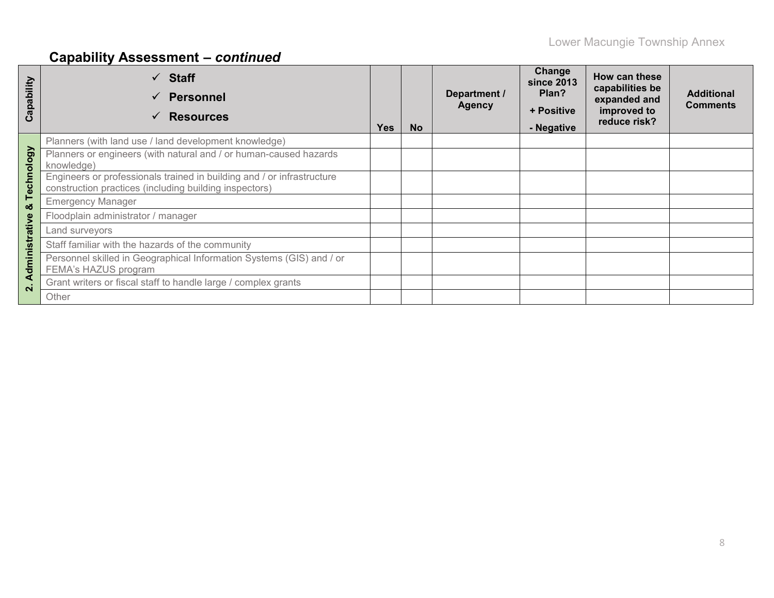| Capability                   | $\checkmark$ Staff<br><b>Personnel</b><br><b>Resources</b>                                                                       | <b>Yes</b> | <b>No</b> | Department /<br><b>Agency</b> | Change<br><b>since 2013</b><br>Plan?<br>+ Positive<br>- Negative | How can these<br>capabilities be<br>expanded and<br>improved to<br>reduce risk? | <b>Additional</b><br><b>Comments</b> |
|------------------------------|----------------------------------------------------------------------------------------------------------------------------------|------------|-----------|-------------------------------|------------------------------------------------------------------|---------------------------------------------------------------------------------|--------------------------------------|
|                              | Planners (with land use / land development knowledge)                                                                            |            |           |                               |                                                                  |                                                                                 |                                      |
|                              | Planners or engineers (with natural and / or human-caused hazards<br>knowledge)                                                  |            |           |                               |                                                                  |                                                                                 |                                      |
| Technology                   | Engineers or professionals trained in building and / or infrastructure<br>construction practices (including building inspectors) |            |           |                               |                                                                  |                                                                                 |                                      |
| ×                            | <b>Emergency Manager</b>                                                                                                         |            |           |                               |                                                                  |                                                                                 |                                      |
|                              | Floodplain administrator / manager                                                                                               |            |           |                               |                                                                  |                                                                                 |                                      |
|                              | Land surveyors                                                                                                                   |            |           |                               |                                                                  |                                                                                 |                                      |
|                              | Staff familiar with the hazards of the community                                                                                 |            |           |                               |                                                                  |                                                                                 |                                      |
| dministrative                | Personnel skilled in Geographical Information Systems (GIS) and / or<br>FEMA's HAZUS program                                     |            |           |                               |                                                                  |                                                                                 |                                      |
| ⋖<br>$\overline{\mathbf{N}}$ | Grant writers or fiscal staff to handle large / complex grants                                                                   |            |           |                               |                                                                  |                                                                                 |                                      |
|                              | Other                                                                                                                            |            |           |                               |                                                                  |                                                                                 |                                      |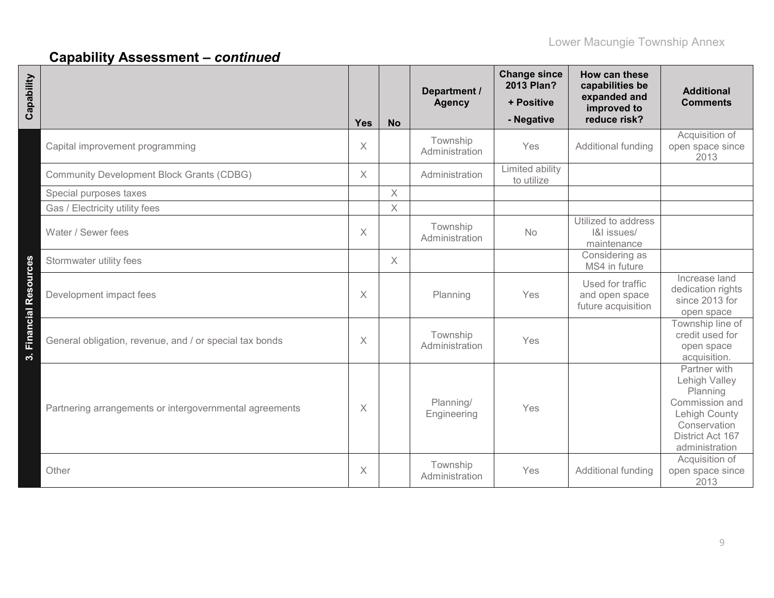| Capability             |                                                         | <b>Yes</b> | <b>No</b> | Department /<br><b>Agency</b> | <b>Change since</b><br>2013 Plan?<br>+ Positive<br>- Negative | How can these<br>capabilities be<br>expanded and<br>improved to<br>reduce risk? | <b>Additional</b><br><b>Comments</b>                                                                                               |
|------------------------|---------------------------------------------------------|------------|-----------|-------------------------------|---------------------------------------------------------------|---------------------------------------------------------------------------------|------------------------------------------------------------------------------------------------------------------------------------|
|                        | Capital improvement programming                         | X          |           | Township<br>Administration    | Yes                                                           | Additional funding                                                              | Acquisition of<br>open space since<br>2013                                                                                         |
|                        | <b>Community Development Block Grants (CDBG)</b>        | X          |           | Administration                | Limited ability<br>to utilize                                 |                                                                                 |                                                                                                                                    |
|                        | Special purposes taxes                                  |            | $\times$  |                               |                                                               |                                                                                 |                                                                                                                                    |
|                        | Gas / Electricity utility fees                          |            | X         |                               |                                                               |                                                                                 |                                                                                                                                    |
|                        | Water / Sewer fees                                      | X          |           | Township<br>Administration    | No                                                            | Utilized to address<br>1&I issues/<br>maintenance                               |                                                                                                                                    |
|                        | Stormwater utility fees                                 |            | X.        |                               |                                                               | Considering as<br>MS4 in future                                                 |                                                                                                                                    |
|                        | Development impact fees                                 | X          |           | Planning                      | Yes                                                           | Used for traffic<br>and open space<br>future acquisition                        | Increase land<br>dedication rights<br>since 2013 for<br>open space                                                                 |
| 3. Financial Resources | General obligation, revenue, and / or special tax bonds | X          |           | Township<br>Administration    | Yes                                                           |                                                                                 | Township line of<br>credit used for<br>open space<br>acquisition.                                                                  |
|                        | Partnering arrangements or intergovernmental agreements | X          |           | Planning/<br>Engineering      | Yes                                                           |                                                                                 | Partner with<br>Lehigh Valley<br>Planning<br>Commission and<br>Lehigh County<br>Conservation<br>District Act 167<br>administration |
|                        | Other                                                   | X          |           | Township<br>Administration    | Yes                                                           | Additional funding                                                              | Acquisition of<br>open space since<br>2013                                                                                         |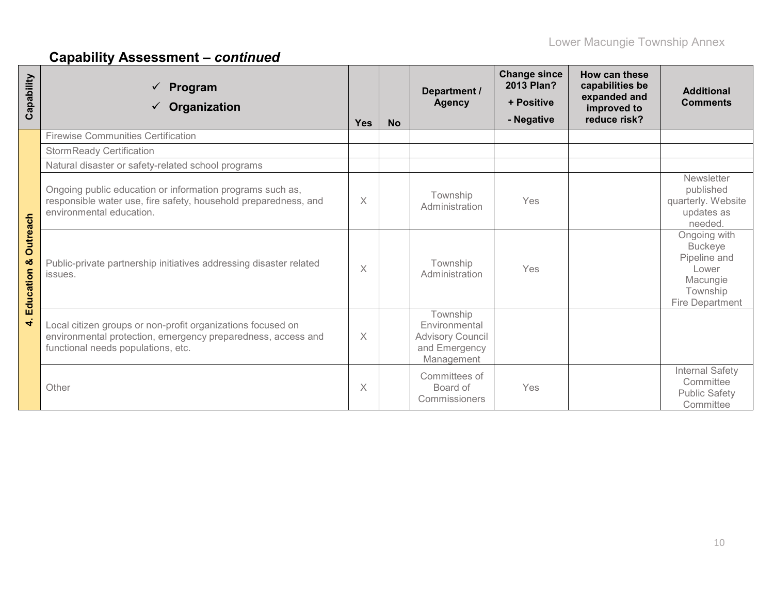| Capability                              | Program<br>Organization<br>$\checkmark$                                                                                                                           | <b>Yes</b> | <b>No</b> | Department /<br><b>Agency</b>                                                       | <b>Change since</b><br>2013 Plan?<br>+ Positive<br>- Negative | How can these<br>capabilities be<br>expanded and<br>improved to<br>reduce risk? | <b>Additional</b><br><b>Comments</b>                                                                      |
|-----------------------------------------|-------------------------------------------------------------------------------------------------------------------------------------------------------------------|------------|-----------|-------------------------------------------------------------------------------------|---------------------------------------------------------------|---------------------------------------------------------------------------------|-----------------------------------------------------------------------------------------------------------|
|                                         | <b>Firewise Communities Certification</b>                                                                                                                         |            |           |                                                                                     |                                                               |                                                                                 |                                                                                                           |
|                                         | <b>StormReady Certification</b>                                                                                                                                   |            |           |                                                                                     |                                                               |                                                                                 |                                                                                                           |
|                                         | Natural disaster or safety-related school programs                                                                                                                |            |           |                                                                                     |                                                               |                                                                                 |                                                                                                           |
|                                         | Ongoing public education or information programs such as,<br>responsible water use, fire safety, household preparedness, and<br>environmental education.          | $\times$   |           | Township<br>Administration                                                          | Yes                                                           |                                                                                 | <b>Newsletter</b><br>published<br>quarterly. Website<br>updates as<br>needed.                             |
| Outreach<br>ೲ<br>Education<br>$\vec{r}$ | Public-private partnership initiatives addressing disaster related<br>issues.                                                                                     | $\times$   |           | Township<br>Administration                                                          | Yes                                                           |                                                                                 | Ongoing with<br><b>Buckeye</b><br>Pipeline and<br>Lower<br>Macungie<br>Township<br><b>Fire Department</b> |
|                                         | Local citizen groups or non-profit organizations focused on<br>environmental protection, emergency preparedness, access and<br>functional needs populations, etc. | $\times$   |           | Township<br>Environmental<br><b>Advisory Council</b><br>and Emergency<br>Management |                                                               |                                                                                 |                                                                                                           |
|                                         | Other                                                                                                                                                             | X          |           | Committees of<br>Board of<br>Commissioners                                          | Yes                                                           |                                                                                 | <b>Internal Safety</b><br>Committee<br><b>Public Safety</b><br>Committee                                  |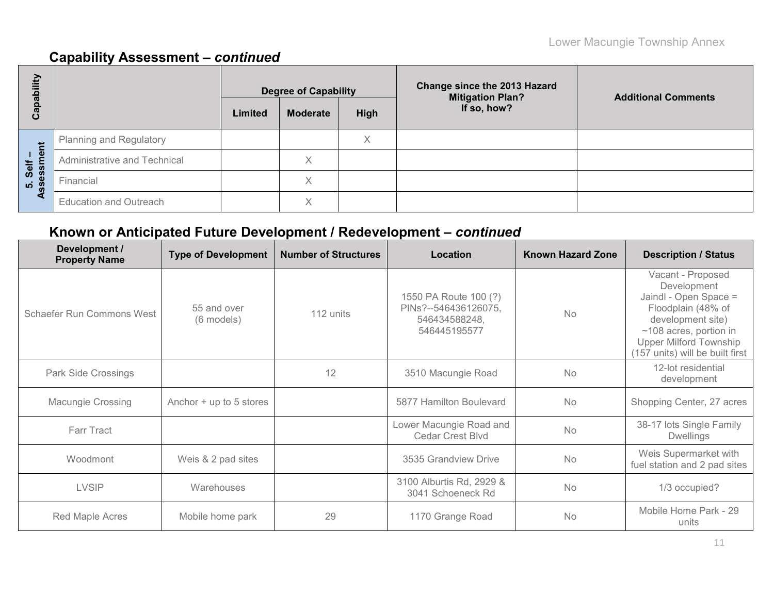| ubility           |                               | <b>Degree of Capability</b> |                 |      | <b>Change since the 2013 Hazard</b><br><b>Mitigation Plan?</b> | <b>Additional Comments</b> |  |
|-------------------|-------------------------------|-----------------------------|-----------------|------|----------------------------------------------------------------|----------------------------|--|
| <u>ო</u><br>ပိ    |                               | Limited                     | <b>Moderate</b> | High | If so, how?                                                    |                            |  |
|                   | Planning and Regulatory       |                             |                 | Χ    |                                                                |                            |  |
| Self –<br>essment | Administrative and Technical  |                             | $\times$        |      |                                                                |                            |  |
| <u>ທີ່ 8</u>      | Financial                     |                             | X               |      |                                                                |                            |  |
| ⋖                 | <b>Education and Outreach</b> |                             | X               |      |                                                                |                            |  |

## **Known or Anticipated Future Development / Redevelopment –** *continued*

| Development /<br><b>Property Name</b> | <b>Type of Development</b>  | <b>Number of Structures</b> | Location                                                                       | <b>Known Hazard Zone</b> | <b>Description / Status</b>                                                                                                                                                                          |
|---------------------------------------|-----------------------------|-----------------------------|--------------------------------------------------------------------------------|--------------------------|------------------------------------------------------------------------------------------------------------------------------------------------------------------------------------------------------|
| <b>Schaefer Run Commons West</b>      | 55 and over<br>$(6$ models) | 112 units                   | 1550 PA Route 100 (?)<br>PINs?--546436126075,<br>546434588248,<br>546445195577 | <b>No</b>                | Vacant - Proposed<br>Development<br>Jaindl - Open Space =<br>Floodplain (48% of<br>development site)<br>$~108$ acres, portion in<br><b>Upper Milford Township</b><br>(157 units) will be built first |
| <b>Park Side Crossings</b>            |                             | 12                          | 3510 Macungie Road                                                             | No                       | 12-lot residential<br>development                                                                                                                                                                    |
| <b>Macungie Crossing</b>              | Anchor + up to 5 stores     |                             | 5877 Hamilton Boulevard                                                        | <b>No</b>                | Shopping Center, 27 acres                                                                                                                                                                            |
| <b>Farr Tract</b>                     |                             |                             | Lower Macungie Road and<br><b>Cedar Crest Blvd</b>                             | <b>No</b>                | 38-17 lots Single Family<br><b>Dwellings</b>                                                                                                                                                         |
| Woodmont                              | Weis & 2 pad sites          |                             | 3535 Grandview Drive                                                           | <b>No</b>                | Weis Supermarket with<br>fuel station and 2 pad sites                                                                                                                                                |
| <b>LVSIP</b>                          | Warehouses                  |                             | 3100 Alburtis Rd, 2929 &<br>3041 Schoeneck Rd                                  | <b>No</b>                | 1/3 occupied?                                                                                                                                                                                        |
| Red Maple Acres                       | Mobile home park            | 29                          | 1170 Grange Road                                                               | <b>No</b>                | Mobile Home Park - 29<br>units                                                                                                                                                                       |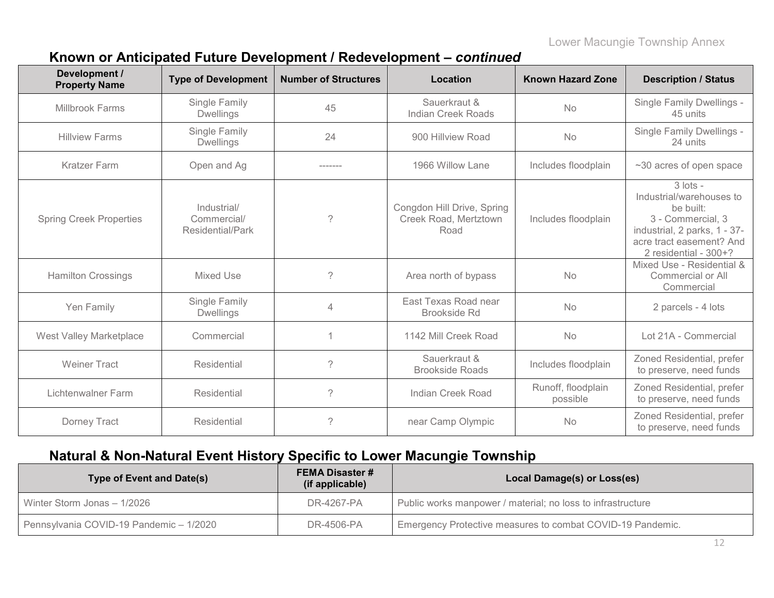|  | Known or Anticipated Future Development / Redevelopment - continued |
|--|---------------------------------------------------------------------|
|--|---------------------------------------------------------------------|

| Development /<br><b>Property Name</b> | <b>Type of Development</b>                            | <b>Number of Structures</b> | Location                                                    | <b>Known Hazard Zone</b>       | <b>Description / Status</b>                                                                                                                                   |
|---------------------------------------|-------------------------------------------------------|-----------------------------|-------------------------------------------------------------|--------------------------------|---------------------------------------------------------------------------------------------------------------------------------------------------------------|
| <b>Millbrook Farms</b>                | Single Family<br><b>Dwellings</b>                     | 45                          | Sauerkraut &<br>Indian Creek Roads                          | <b>No</b>                      | Single Family Dwellings -<br>45 units                                                                                                                         |
| <b>Hillview Farms</b>                 | Single Family<br><b>Dwellings</b>                     | 24                          | 900 Hillview Road                                           | No                             | Single Family Dwellings -<br>24 units                                                                                                                         |
| <b>Kratzer Farm</b>                   | Open and Ag                                           | -------                     | 1966 Willow Lane                                            | Includes floodplain            | ~30 acres of open space                                                                                                                                       |
| <b>Spring Creek Properties</b>        | Industrial/<br>Commercial/<br><b>Residential/Park</b> | $\gamma$                    | Congdon Hill Drive, Spring<br>Creek Road, Mertztown<br>Road | Includes floodplain            | $3$ lots -<br>Industrial/warehouses to<br>be built:<br>3 - Commercial, 3<br>industrial, 2 parks, 1 - 37-<br>acre tract easement? And<br>2 residential - 300+? |
| <b>Hamilton Crossings</b>             | Mixed Use                                             | ?                           | Area north of bypass                                        | No                             | Mixed Use - Residential &<br>Commercial or All<br>Commercial                                                                                                  |
| Yen Family                            | Single Family<br><b>Dwellings</b>                     | 4                           | East Texas Road near<br><b>Brookside Rd</b>                 | No                             | 2 parcels - 4 lots                                                                                                                                            |
| <b>West Valley Marketplace</b>        | Commercial                                            |                             | 1142 Mill Creek Road                                        | <b>No</b>                      | Lot 21A - Commercial                                                                                                                                          |
| <b>Weiner Tract</b>                   | Residential                                           | $\gamma$                    | Sauerkraut &<br><b>Brookside Roads</b>                      | Includes floodplain            | Zoned Residential, prefer<br>to preserve, need funds                                                                                                          |
| Lichtenwalner Farm                    | Residential                                           | ?                           | Indian Creek Road                                           | Runoff, floodplain<br>possible | Zoned Residential, prefer<br>to preserve, need funds                                                                                                          |
| Dorney Tract                          | Residential                                           | ?                           | near Camp Olympic                                           | <b>No</b>                      | Zoned Residential, prefer<br>to preserve, need funds                                                                                                          |

# **Natural & Non-Natural Event History Specific to Lower Macungie Township**

| <b>Type of Event and Date(s)</b>        | <b>FEMA Disaster #7</b><br>(if applicable) | Local Damage(s) or Loss(es)                                 |  |  |  |  |  |
|-----------------------------------------|--------------------------------------------|-------------------------------------------------------------|--|--|--|--|--|
| Winter Storm Jonas - 1/2026             | DR-4267-PA                                 | Public works manpower / material; no loss to infrastructure |  |  |  |  |  |
| Pennsylvania COVID-19 Pandemic - 1/2020 | DR-4506-PA                                 | Emergency Protective measures to combat COVID-19 Pandemic.  |  |  |  |  |  |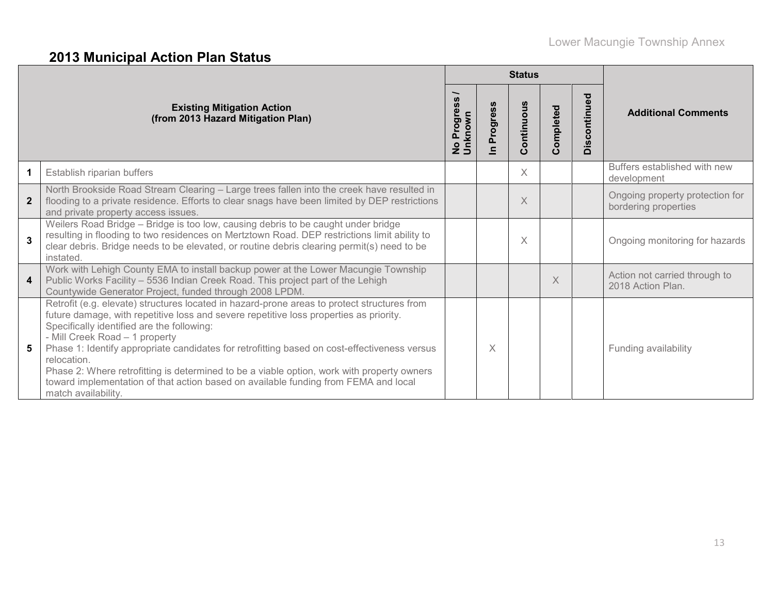# **2013 Municipal Action Plan Status**

|                |                                                                                                                                                                                                                                                                                                                                                                                                                                                                                                                                                                                                  |                                 |                          | <b>Status</b> |           |              |                                                         |
|----------------|--------------------------------------------------------------------------------------------------------------------------------------------------------------------------------------------------------------------------------------------------------------------------------------------------------------------------------------------------------------------------------------------------------------------------------------------------------------------------------------------------------------------------------------------------------------------------------------------------|---------------------------------|--------------------------|---------------|-----------|--------------|---------------------------------------------------------|
|                | <b>Existing Mitigation Action</b><br>(from 2013 Hazard Mitigation Plan)                                                                                                                                                                                                                                                                                                                                                                                                                                                                                                                          | Progres<br>No Progre<br>Unknown | Progress<br>$\mathbf{a}$ | Continuous    | Completed | Discontinued | <b>Additional Comments</b>                              |
| 1.             | Establish riparian buffers                                                                                                                                                                                                                                                                                                                                                                                                                                                                                                                                                                       |                                 |                          | X             |           |              | Buffers established with new<br>development             |
| $\overline{2}$ | North Brookside Road Stream Clearing - Large trees fallen into the creek have resulted in<br>flooding to a private residence. Efforts to clear snags have been limited by DEP restrictions<br>and private property access issues.                                                                                                                                                                                                                                                                                                                                                                |                                 |                          | X             |           |              | Ongoing property protection for<br>bordering properties |
| 3              | Weilers Road Bridge - Bridge is too low, causing debris to be caught under bridge<br>resulting in flooding to two residences on Mertztown Road. DEP restrictions limit ability to<br>clear debris. Bridge needs to be elevated, or routine debris clearing permit(s) need to be<br>instated.                                                                                                                                                                                                                                                                                                     |                                 |                          | X             |           |              | Ongoing monitoring for hazards                          |
| 4              | Work with Lehigh County EMA to install backup power at the Lower Macungie Township<br>Public Works Facility - 5536 Indian Creek Road. This project part of the Lehigh<br>Countywide Generator Project, funded through 2008 LPDM.                                                                                                                                                                                                                                                                                                                                                                 |                                 |                          |               | X         |              | Action not carried through to<br>2018 Action Plan.      |
| 5              | Retrofit (e.g. elevate) structures located in hazard-prone areas to protect structures from<br>future damage, with repetitive loss and severe repetitive loss properties as priority.<br>Specifically identified are the following:<br>- Mill Creek Road - 1 property<br>Phase 1: Identify appropriate candidates for retrofitting based on cost-effectiveness versus<br>relocation.<br>Phase 2: Where retrofitting is determined to be a viable option, work with property owners<br>toward implementation of that action based on available funding from FEMA and local<br>match availability. |                                 | $\times$                 |               |           |              | Funding availability                                    |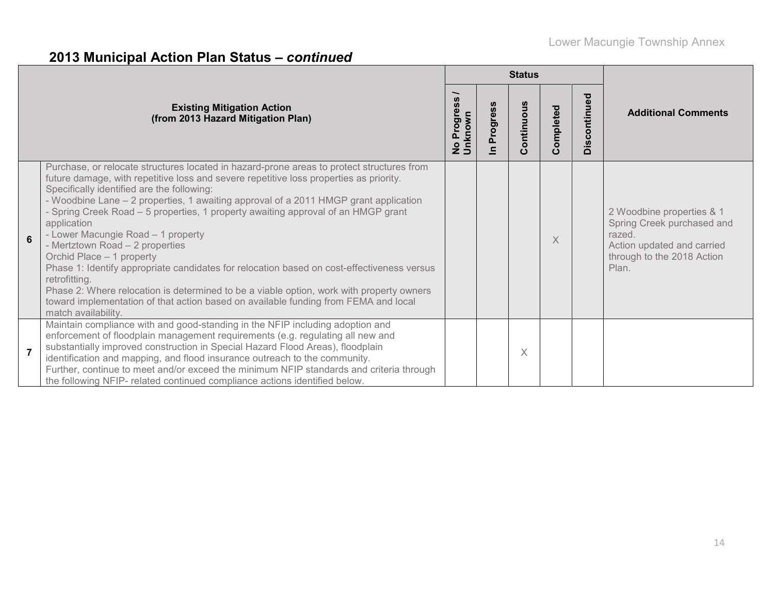# **2013 Municipal Action Plan Status –** *continued*

|                |                                                                                                                                                                                                                                                                                                                                                                                                                                                                                                                                                                                                                                                                                                                                                                                                                                                              |                                            |                                                      | <b>Status</b> |           |              |                                                                                                                                        |
|----------------|--------------------------------------------------------------------------------------------------------------------------------------------------------------------------------------------------------------------------------------------------------------------------------------------------------------------------------------------------------------------------------------------------------------------------------------------------------------------------------------------------------------------------------------------------------------------------------------------------------------------------------------------------------------------------------------------------------------------------------------------------------------------------------------------------------------------------------------------------------------|--------------------------------------------|------------------------------------------------------|---------------|-----------|--------------|----------------------------------------------------------------------------------------------------------------------------------------|
|                | <b>Existing Mitigation Action</b><br>(from 2013 Hazard Mitigation Plan)                                                                                                                                                                                                                                                                                                                                                                                                                                                                                                                                                                                                                                                                                                                                                                                      | Progres<br><b>Unknown</b><br>$\frac{1}{2}$ | rogress<br>$\overline{\mathbf{a}}$<br>$\blacksquare$ | Continuous    | Completed | Discontinued | <b>Additional Comments</b>                                                                                                             |
| 6              | Purchase, or relocate structures located in hazard-prone areas to protect structures from<br>future damage, with repetitive loss and severe repetitive loss properties as priority.<br>Specifically identified are the following:<br>- Woodbine Lane - 2 properties, 1 awaiting approval of a 2011 HMGP grant application<br>- Spring Creek Road - 5 properties, 1 property awaiting approval of an HMGP grant<br>application<br>- Lower Macungie Road - 1 property<br>- Mertztown Road - 2 properties<br>Orchid Place - 1 property<br>Phase 1: Identify appropriate candidates for relocation based on cost-effectiveness versus<br>retrofitting.<br>Phase 2: Where relocation is determined to be a viable option, work with property owners<br>toward implementation of that action based on available funding from FEMA and local<br>match availability. |                                            |                                                      |               | X         |              | 2 Woodbine properties & 1<br>Spring Creek purchased and<br>razed.<br>Action updated and carried<br>through to the 2018 Action<br>Plan. |
| $\overline{7}$ | Maintain compliance with and good-standing in the NFIP including adoption and<br>enforcement of floodplain management requirements (e.g. regulating all new and<br>substantially improved construction in Special Hazard Flood Areas), floodplain<br>identification and mapping, and flood insurance outreach to the community.<br>Further, continue to meet and/or exceed the minimum NFIP standards and criteria through<br>the following NFIP- related continued compliance actions identified below.                                                                                                                                                                                                                                                                                                                                                     |                                            |                                                      | $\times$      |           |              |                                                                                                                                        |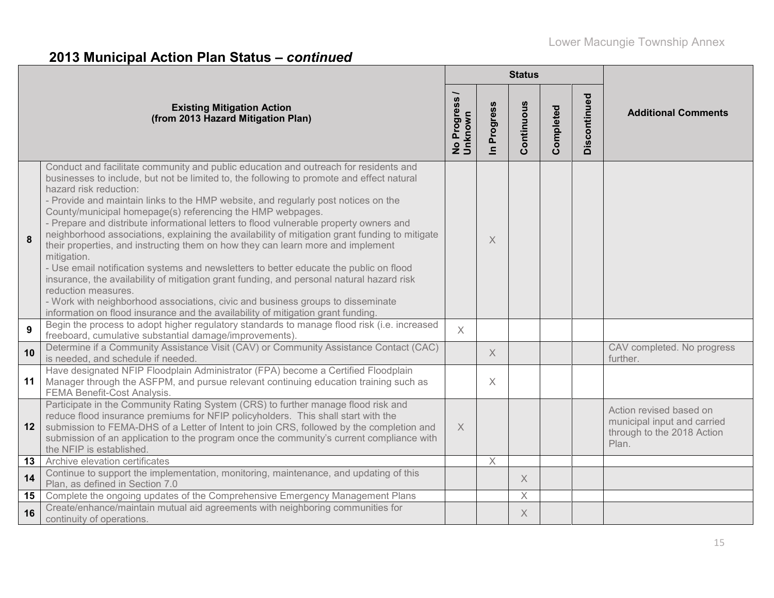# **2013 Municipal Action Plan Status –** *continued*

|    |                                                                                                                                                                                                                                                                                                                                                                                                                                                                                                                                                                                                                                                                                                                                                                                                                                                                                                                                                                                                                                                    |                        |                      | <b>Status</b> |           |              |                                                                                               |
|----|----------------------------------------------------------------------------------------------------------------------------------------------------------------------------------------------------------------------------------------------------------------------------------------------------------------------------------------------------------------------------------------------------------------------------------------------------------------------------------------------------------------------------------------------------------------------------------------------------------------------------------------------------------------------------------------------------------------------------------------------------------------------------------------------------------------------------------------------------------------------------------------------------------------------------------------------------------------------------------------------------------------------------------------------------|------------------------|----------------------|---------------|-----------|--------------|-----------------------------------------------------------------------------------------------|
|    | <b>Existing Mitigation Action</b><br>(from 2013 Hazard Mitigation Plan)                                                                                                                                                                                                                                                                                                                                                                                                                                                                                                                                                                                                                                                                                                                                                                                                                                                                                                                                                                            | No Progress<br>Unknown | Progress<br>$\equiv$ | Continuous    | Completed | Discontinued | <b>Additional Comments</b>                                                                    |
| 8  | Conduct and facilitate community and public education and outreach for residents and<br>businesses to include, but not be limited to, the following to promote and effect natural<br>hazard risk reduction:<br>- Provide and maintain links to the HMP website, and regularly post notices on the<br>County/municipal homepage(s) referencing the HMP webpages.<br>- Prepare and distribute informational letters to flood vulnerable property owners and<br>neighborhood associations, explaining the availability of mitigation grant funding to mitigate<br>their properties, and instructing them on how they can learn more and implement<br>mitigation.<br>- Use email notification systems and newsletters to better educate the public on flood<br>insurance, the availability of mitigation grant funding, and personal natural hazard risk<br>reduction measures.<br>- Work with neighborhood associations, civic and business groups to disseminate<br>information on flood insurance and the availability of mitigation grant funding. |                        | X                    |               |           |              |                                                                                               |
| 9  | Begin the process to adopt higher regulatory standards to manage flood risk (i.e. increased<br>freeboard, cumulative substantial damage/improvements).                                                                                                                                                                                                                                                                                                                                                                                                                                                                                                                                                                                                                                                                                                                                                                                                                                                                                             | $\times$               |                      |               |           |              |                                                                                               |
| 10 | Determine if a Community Assistance Visit (CAV) or Community Assistance Contact (CAC)<br>is needed, and schedule if needed.                                                                                                                                                                                                                                                                                                                                                                                                                                                                                                                                                                                                                                                                                                                                                                                                                                                                                                                        |                        | $\times$             |               |           |              | CAV completed. No progress<br>further.                                                        |
| 11 | Have designated NFIP Floodplain Administrator (FPA) become a Certified Floodplain<br>Manager through the ASFPM, and pursue relevant continuing education training such as<br>FEMA Benefit-Cost Analysis.                                                                                                                                                                                                                                                                                                                                                                                                                                                                                                                                                                                                                                                                                                                                                                                                                                           |                        | X                    |               |           |              |                                                                                               |
| 12 | Participate in the Community Rating System (CRS) to further manage flood risk and<br>reduce flood insurance premiums for NFIP policyholders. This shall start with the<br>submission to FEMA-DHS of a Letter of Intent to join CRS, followed by the completion and<br>submission of an application to the program once the community's current compliance with<br>the NFIP is established                                                                                                                                                                                                                                                                                                                                                                                                                                                                                                                                                                                                                                                          | $\times$               |                      |               |           |              | Action revised based on<br>municipal input and carried<br>through to the 2018 Action<br>Plan. |
| 13 | Archive elevation certificates                                                                                                                                                                                                                                                                                                                                                                                                                                                                                                                                                                                                                                                                                                                                                                                                                                                                                                                                                                                                                     |                        | $\times$             |               |           |              |                                                                                               |
| 14 | Continue to support the implementation, monitoring, maintenance, and updating of this<br>Plan, as defined in Section 7.0                                                                                                                                                                                                                                                                                                                                                                                                                                                                                                                                                                                                                                                                                                                                                                                                                                                                                                                           |                        |                      | $\times$      |           |              |                                                                                               |
| 15 | Complete the ongoing updates of the Comprehensive Emergency Management Plans                                                                                                                                                                                                                                                                                                                                                                                                                                                                                                                                                                                                                                                                                                                                                                                                                                                                                                                                                                       |                        |                      | $\times$      |           |              |                                                                                               |
| 16 | Create/enhance/maintain mutual aid agreements with neighboring communities for<br>continuity of operations.                                                                                                                                                                                                                                                                                                                                                                                                                                                                                                                                                                                                                                                                                                                                                                                                                                                                                                                                        |                        |                      | X             |           |              |                                                                                               |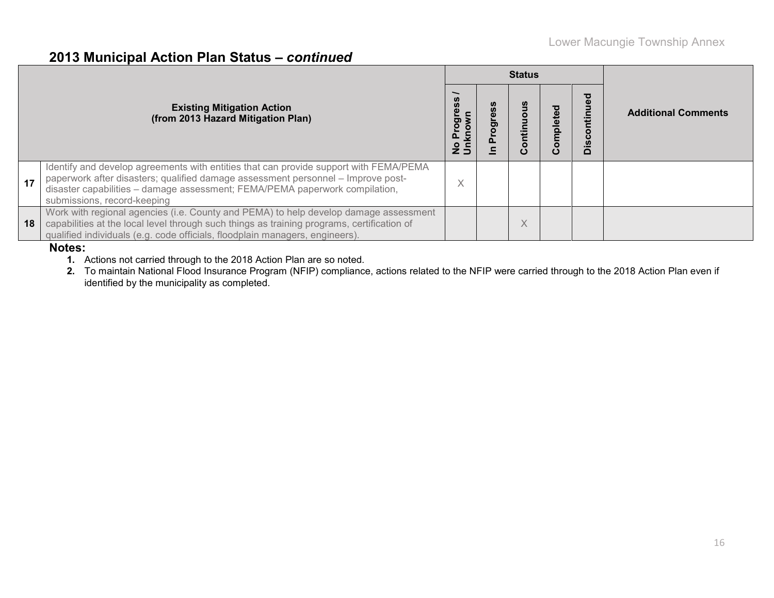### **2013 Municipal Action Plan Status –** *continued*

|    |                                                                                                                                                                                                                                                                                          |           | <b>Status</b> |          |                    |                            |
|----|------------------------------------------------------------------------------------------------------------------------------------------------------------------------------------------------------------------------------------------------------------------------------------------|-----------|---------------|----------|--------------------|----------------------------|
|    | <b>Existing Mitigation Action</b><br>(from 2013 Hazard Mitigation Plan)                                                                                                                                                                                                                  |           | ontinu        | ompleted | pen<br>Ē<br>Discor | <b>Additional Comments</b> |
| 17 | Identify and develop agreements with entities that can provide support with FEMA/PEMA<br>paperwork after disasters; qualified damage assessment personnel - Improve post-<br>disaster capabilities - damage assessment; FEMA/PEMA paperwork compilation,<br>submissions, record-keeping  | $\sqrt{}$ |               |          |                    |                            |
| 18 | Work with regional agencies (i.e. County and PEMA) to help develop damage assessment<br>capabilities at the local level through such things as training programs, certification of<br>qualified individuals (e.g. code officials, floodplain managers, engineers).<br><b>ALC 4</b> 2 2 2 |           | X             |          |                    |                            |

#### **Notes:**

**1.** Actions not carried through to the 2018 Action Plan are so noted.

**2.** To maintain National Flood Insurance Program (NFIP) compliance, actions related to the NFIP were carried through to the 2018 Action Plan even if identified by the municipality as completed.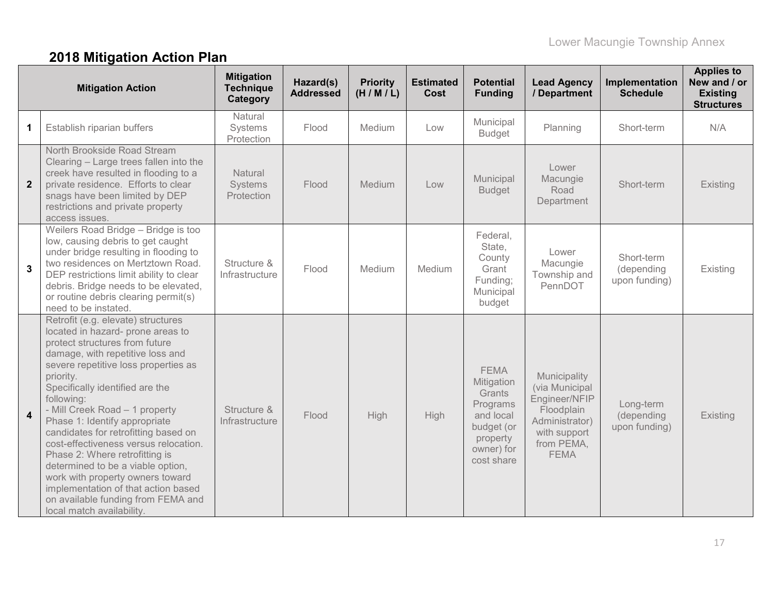# **2018 Mitigation Action Plan**

|                         | <b>Mitigation Action</b>                                                                                                                                                                                                                                                                                                                                                                                                                                                                                                                                                                                                     | <b>Mitigation</b><br><b>Technique</b><br>Category | Hazard(s)<br><b>Addressed</b> | <b>Priority</b><br>(H/M/L) | <b>Estimated</b><br><b>Cost</b> | <b>Potential</b><br><b>Funding</b>                                                                                 | <b>Lead Agency</b><br>/ Department                                                                                           | Implementation<br><b>Schedule</b>         | <b>Applies to</b><br>New and / or<br><b>Existing</b><br><b>Structures</b> |
|-------------------------|------------------------------------------------------------------------------------------------------------------------------------------------------------------------------------------------------------------------------------------------------------------------------------------------------------------------------------------------------------------------------------------------------------------------------------------------------------------------------------------------------------------------------------------------------------------------------------------------------------------------------|---------------------------------------------------|-------------------------------|----------------------------|---------------------------------|--------------------------------------------------------------------------------------------------------------------|------------------------------------------------------------------------------------------------------------------------------|-------------------------------------------|---------------------------------------------------------------------------|
| 1                       | Establish riparian buffers                                                                                                                                                                                                                                                                                                                                                                                                                                                                                                                                                                                                   | Natural<br>Systems<br>Protection                  | Flood                         | Medium                     | Low                             | Municipal<br><b>Budget</b>                                                                                         | Planning                                                                                                                     | Short-term                                | N/A                                                                       |
| $\mathbf{2}$            | North Brookside Road Stream<br>Clearing - Large trees fallen into the<br>creek have resulted in flooding to a<br>private residence. Efforts to clear<br>snags have been limited by DEP<br>restrictions and private property<br>access issues.                                                                                                                                                                                                                                                                                                                                                                                | Natural<br>Systems<br>Protection                  | Flood                         | Medium                     | Low                             | Municipal<br><b>Budget</b>                                                                                         | Lower<br>Macungie<br>Road<br>Department                                                                                      | Short-term                                | Existing                                                                  |
| $\mathbf{3}$            | Weilers Road Bridge - Bridge is too<br>low, causing debris to get caught<br>under bridge resulting in flooding to<br>two residences on Mertztown Road.<br>DEP restrictions limit ability to clear<br>debris. Bridge needs to be elevated,<br>or routine debris clearing permit(s)<br>need to be instated.                                                                                                                                                                                                                                                                                                                    | Structure &<br>Infrastructure                     | Flood                         | Medium                     | Medium                          | Federal,<br>State,<br>County<br>Grant<br>Funding;<br>Municipal<br>budget                                           | Lower<br>Macungie<br>Township and<br>PennDOT                                                                                 | Short-term<br>(depending<br>upon funding) | Existing                                                                  |
| $\overline{\mathbf{4}}$ | Retrofit (e.g. elevate) structures<br>located in hazard- prone areas to<br>protect structures from future<br>damage, with repetitive loss and<br>severe repetitive loss properties as<br>priority.<br>Specifically identified are the<br>following:<br>- Mill Creek Road - 1 property<br>Phase 1: Identify appropriate<br>candidates for retrofitting based on<br>cost-effectiveness versus relocation.<br>Phase 2: Where retrofitting is<br>determined to be a viable option,<br>work with property owners toward<br>implementation of that action based<br>on available funding from FEMA and<br>local match availability. | Structure &<br>Infrastructure                     | Flood                         | High                       | High                            | <b>FEMA</b><br>Mitigation<br>Grants<br>Programs<br>and local<br>budget (or<br>property<br>owner) for<br>cost share | Municipality<br>(via Municipal<br>Engineer/NFIP<br>Floodplain<br>Administrator)<br>with support<br>from PEMA,<br><b>FEMA</b> | Long-term<br>(depending<br>upon funding)  | Existing                                                                  |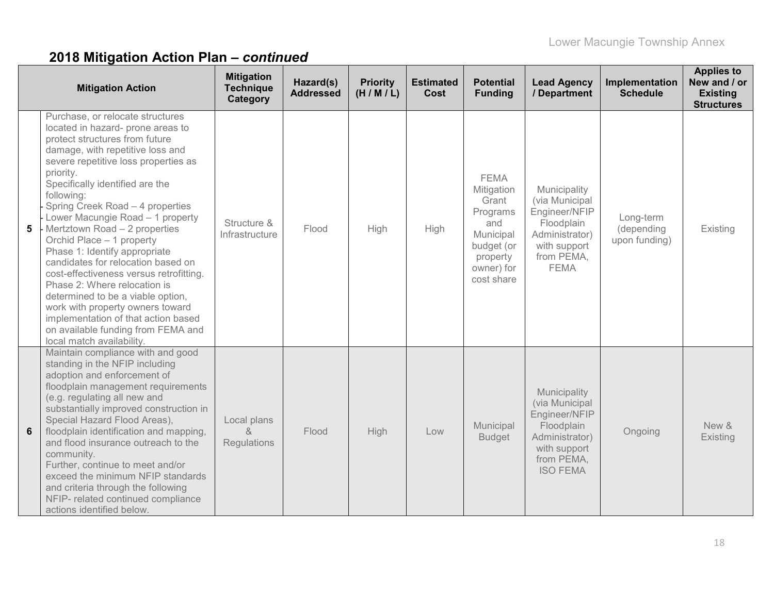|   | <b>Mitigation Action</b>                                                                                                                                                                                                                                                                                                                                                                                                                                                                                                                                                                                                                                                                                                               | <b>Mitigation</b><br><b>Technique</b><br>Category | Hazard(s)<br><b>Addressed</b> | <b>Priority</b><br>(H/M/L) | <b>Estimated</b><br>Cost | <b>Potential</b><br><b>Funding</b>                                                                                       | <b>Lead Agency</b><br>/ Department                                                                                               | Implementation<br><b>Schedule</b>        | <b>Applies to</b><br>New and / or<br><b>Existing</b><br><b>Structures</b> |
|---|----------------------------------------------------------------------------------------------------------------------------------------------------------------------------------------------------------------------------------------------------------------------------------------------------------------------------------------------------------------------------------------------------------------------------------------------------------------------------------------------------------------------------------------------------------------------------------------------------------------------------------------------------------------------------------------------------------------------------------------|---------------------------------------------------|-------------------------------|----------------------------|--------------------------|--------------------------------------------------------------------------------------------------------------------------|----------------------------------------------------------------------------------------------------------------------------------|------------------------------------------|---------------------------------------------------------------------------|
|   | Purchase, or relocate structures<br>located in hazard- prone areas to<br>protect structures from future<br>damage, with repetitive loss and<br>severe repetitive loss properties as<br>priority.<br>Specifically identified are the<br>following:<br>Spring Creek Road - 4 properties<br>Lower Macungie Road - 1 property<br><b>5</b> Mertztown Road $-2$ properties<br>Orchid Place - 1 property<br>Phase 1: Identify appropriate<br>candidates for relocation based on<br>cost-effectiveness versus retrofitting.<br>Phase 2: Where relocation is<br>determined to be a viable option,<br>work with property owners toward<br>implementation of that action based<br>on available funding from FEMA and<br>local match availability. | Structure &<br>Infrastructure                     | Flood                         | High                       | High                     | <b>FEMA</b><br>Mitigation<br>Grant<br>Programs<br>and<br>Municipal<br>budget (or<br>property<br>owner) for<br>cost share | Municipality<br>(via Municipal<br>Engineer/NFIP<br>Floodplain<br>Administrator)<br>with support<br>from PEMA,<br><b>FEMA</b>     | Long-term<br>(depending<br>upon funding) | Existing                                                                  |
| 6 | Maintain compliance with and good<br>standing in the NFIP including<br>adoption and enforcement of<br>floodplain management requirements<br>(e.g. regulating all new and<br>substantially improved construction in<br>Special Hazard Flood Areas),<br>floodplain identification and mapping,<br>and flood insurance outreach to the<br>community.<br>Further, continue to meet and/or<br>exceed the minimum NFIP standards<br>and criteria through the following<br>NFIP- related continued compliance<br>actions identified below.                                                                                                                                                                                                    | Local plans<br>$\alpha$<br>Regulations            | Flood                         | High                       | Low                      | Municipal<br><b>Budget</b>                                                                                               | Municipality<br>(via Municipal<br>Engineer/NFIP<br>Floodplain<br>Administrator)<br>with support<br>from PEMA,<br><b>ISO FEMA</b> | Ongoing                                  | New &<br>Existing                                                         |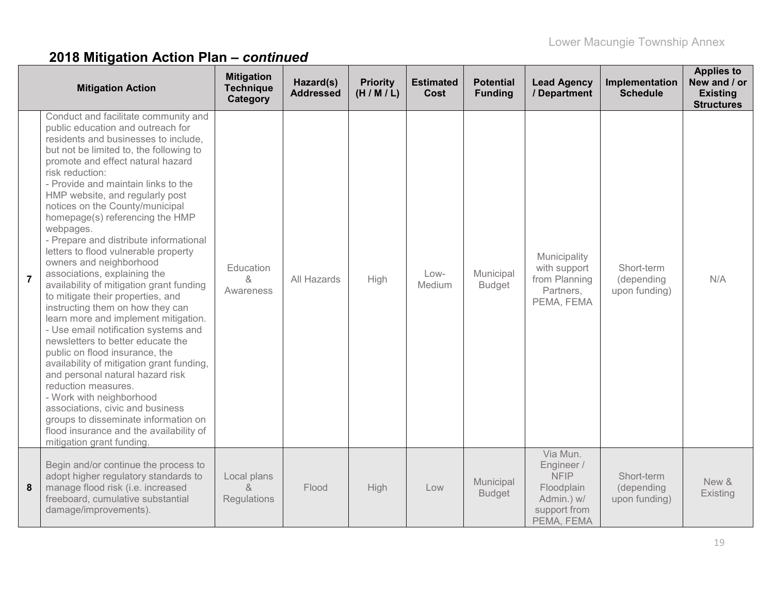|                | <b>Mitigation Action</b>                                                                                                                                                                                                                                                                                                                                                                                                                                                                                                                                                                                                                                                                                                                                                                                                                                                                                                                                                                                                                                                                           | <b>Mitigation</b><br><b>Technique</b><br>Category | Hazard(s)<br><b>Addressed</b> | <b>Priority</b><br>(H/M/L) | <b>Estimated</b><br>Cost | <b>Potential</b><br><b>Funding</b> | <b>Lead Agency</b><br>/ Department                                                              | Implementation<br><b>Schedule</b>         | <b>Applies to</b><br>New and / or<br><b>Existing</b><br><b>Structures</b> |
|----------------|----------------------------------------------------------------------------------------------------------------------------------------------------------------------------------------------------------------------------------------------------------------------------------------------------------------------------------------------------------------------------------------------------------------------------------------------------------------------------------------------------------------------------------------------------------------------------------------------------------------------------------------------------------------------------------------------------------------------------------------------------------------------------------------------------------------------------------------------------------------------------------------------------------------------------------------------------------------------------------------------------------------------------------------------------------------------------------------------------|---------------------------------------------------|-------------------------------|----------------------------|--------------------------|------------------------------------|-------------------------------------------------------------------------------------------------|-------------------------------------------|---------------------------------------------------------------------------|
| $\overline{7}$ | Conduct and facilitate community and<br>public education and outreach for<br>residents and businesses to include,<br>but not be limited to, the following to<br>promote and effect natural hazard<br>risk reduction:<br>- Provide and maintain links to the<br>HMP website, and regularly post<br>notices on the County/municipal<br>homepage(s) referencing the HMP<br>webpages.<br>- Prepare and distribute informational<br>letters to flood vulnerable property<br>owners and neighborhood<br>associations, explaining the<br>availability of mitigation grant funding<br>to mitigate their properties, and<br>instructing them on how they can<br>learn more and implement mitigation.<br>- Use email notification systems and<br>newsletters to better educate the<br>public on flood insurance, the<br>availability of mitigation grant funding,<br>and personal natural hazard risk<br>reduction measures.<br>- Work with neighborhood<br>associations, civic and business<br>groups to disseminate information on<br>flood insurance and the availability of<br>mitigation grant funding. | Education<br>&<br>Awareness                       | All Hazards                   | High                       | $Low-$<br>Medium         | Municipal<br><b>Budget</b>         | Municipality<br>with support<br>from Planning<br>Partners,<br>PEMA, FEMA                        | Short-term<br>(depending<br>upon funding) | N/A                                                                       |
| 8              | Begin and/or continue the process to<br>adopt higher regulatory standards to<br>manage flood risk (i.e. increased<br>freeboard, cumulative substantial<br>damage/improvements).                                                                                                                                                                                                                                                                                                                                                                                                                                                                                                                                                                                                                                                                                                                                                                                                                                                                                                                    | Local plans<br>$\mathcal{R}$<br>Regulations       | Flood                         | High                       | Low                      | Municipal<br><b>Budget</b>         | Via Mun.<br>Engineer /<br><b>NFIP</b><br>Floodplain<br>Admin.) w/<br>support from<br>PEMA, FEMA | Short-term<br>(depending<br>upon funding) | New &<br>Existing                                                         |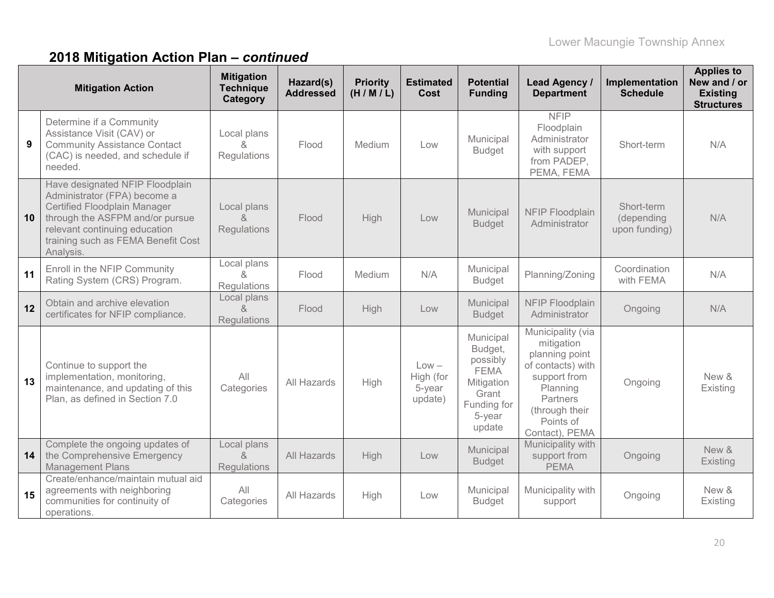|    | <b>Mitigation Action</b>                                                                                                                                                                                               | <b>Mitigation</b><br><b>Technique</b><br>Category | Hazard(s)<br><b>Addressed</b> | <b>Priority</b><br>(H/M/L) | <b>Estimated</b><br>Cost                  | <b>Potential</b><br><b>Funding</b>                                                                        | Lead Agency /<br><b>Department</b>                                                                                                                              | Implementation<br><b>Schedule</b>         | <b>Applies to</b><br>New and / or<br><b>Existing</b><br><b>Structures</b> |
|----|------------------------------------------------------------------------------------------------------------------------------------------------------------------------------------------------------------------------|---------------------------------------------------|-------------------------------|----------------------------|-------------------------------------------|-----------------------------------------------------------------------------------------------------------|-----------------------------------------------------------------------------------------------------------------------------------------------------------------|-------------------------------------------|---------------------------------------------------------------------------|
| 9  | Determine if a Community<br>Assistance Visit (CAV) or<br><b>Community Assistance Contact</b><br>(CAC) is needed, and schedule if<br>needed.                                                                            | Local plans<br>$\alpha$<br>Regulations            | Flood                         | Medium                     | Low                                       | Municipal<br><b>Budget</b>                                                                                | <b>NFIP</b><br>Floodplain<br>Administrator<br>with support<br>from PADEP,<br>PEMA, FEMA                                                                         | Short-term                                | N/A                                                                       |
| 10 | Have designated NFIP Floodplain<br>Administrator (FPA) become a<br>Certified Floodplain Manager<br>through the ASFPM and/or pursue<br>relevant continuing education<br>training such as FEMA Benefit Cost<br>Analysis. | Local plans<br>&<br><b>Regulations</b>            | Flood                         | High                       | Low                                       | Municipal<br><b>Budget</b>                                                                                | NFIP Floodplain<br>Administrator                                                                                                                                | Short-term<br>(depending<br>upon funding) | N/A                                                                       |
| 11 | Enroll in the NFIP Community<br>Rating System (CRS) Program.                                                                                                                                                           | Local plans<br>&<br><b>Regulations</b>            | Flood                         | Medium                     | N/A                                       | Municipal<br><b>Budget</b>                                                                                | Planning/Zoning                                                                                                                                                 | Coordination<br>with FEMA                 | N/A                                                                       |
| 12 | Obtain and archive elevation<br>certificates for NFIP compliance.                                                                                                                                                      | Local plans<br>$\alpha$<br><b>Regulations</b>     | Flood                         | High                       | Low                                       | Municipal<br><b>Budget</b>                                                                                | <b>NFIP Floodplain</b><br>Administrator                                                                                                                         | Ongoing                                   | N/A                                                                       |
| 13 | Continue to support the<br>implementation, monitoring,<br>maintenance, and updating of this<br>Plan, as defined in Section 7.0                                                                                         | All<br>Categories                                 | All Hazards                   | High                       | $Low -$<br>High (for<br>5-year<br>update) | Municipal<br>Budget,<br>possibly<br><b>FEMA</b><br>Mitigation<br>Grant<br>Funding for<br>5-year<br>update | Municipality (via<br>mitigation<br>planning point<br>of contacts) with<br>support from<br>Planning<br>Partners<br>(through their<br>Points of<br>Contact), PEMA | Ongoing                                   | New &<br>Existing                                                         |
| 14 | Complete the ongoing updates of<br>the Comprehensive Emergency<br><b>Management Plans</b>                                                                                                                              | Local plans<br>$\alpha$<br><b>Regulations</b>     | All Hazards                   | <b>High</b>                | Low                                       | Municipal<br><b>Budget</b>                                                                                | Municipality with<br>support from<br><b>PEMA</b>                                                                                                                | Ongoing                                   | New &<br>Existing                                                         |
| 15 | Create/enhance/maintain mutual aid<br>agreements with neighboring<br>communities for continuity of<br>operations.                                                                                                      | All<br>Categories                                 | All Hazards                   | High                       | Low                                       | Municipal<br><b>Budget</b>                                                                                | Municipality with<br>support                                                                                                                                    | Ongoing                                   | New &<br>Existing                                                         |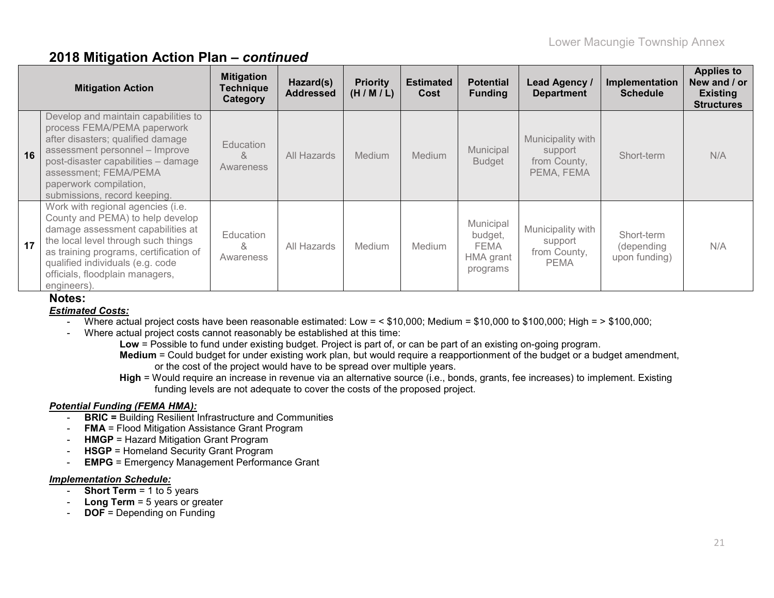|    | <b>Mitigation Action</b>                                                                                                                                                                                                                                                          | <b>Mitigation</b><br><b>Technique</b><br>Category           | Hazard(s)<br><b>Addressed</b> | <b>Priority</b><br>(H/M/L) | <b>Estimated</b><br>Cost | <b>Potential</b><br><b>Funding</b>                           | Lead Agency /<br><b>Department</b>                          | Implementation<br><b>Schedule</b>         | <b>Applies to</b><br>New and / or<br><b>Existing</b><br><b>Structures</b> |
|----|-----------------------------------------------------------------------------------------------------------------------------------------------------------------------------------------------------------------------------------------------------------------------------------|-------------------------------------------------------------|-------------------------------|----------------------------|--------------------------|--------------------------------------------------------------|-------------------------------------------------------------|-------------------------------------------|---------------------------------------------------------------------------|
| 16 | Develop and maintain capabilities to<br>process FEMA/PEMA paperwork<br>after disasters; qualified damage<br>assessment personnel - Improve<br>post-disaster capabilities - damage<br>assessment; FEMA/PEMA<br>paperwork compilation,<br>submissions, record keeping.              | <b>Education</b><br>$\mathcal{S}_{\mathbf{x}}$<br>Awareness | All Hazards                   | <b>Medium</b>              | <b>Medium</b>            | Municipal<br><b>Budget</b>                                   | Municipality with<br>support<br>from County,<br>PEMA, FEMA  | Short-term                                | N/A                                                                       |
| 17 | Work with regional agencies (i.e.<br>County and PEMA) to help develop<br>damage assessment capabilities at<br>the local level through such things<br>as training programs, certification of<br>qualified individuals (e.g. code<br>officials, floodplain managers,<br>engineers). | Education<br>&.<br>Awareness                                | All Hazards                   | Medium                     | <b>Medium</b>            | Municipal<br>budget,<br><b>FEMA</b><br>HMA grant<br>programs | Municipality with<br>support<br>from County,<br><b>PEMA</b> | Short-term<br>(depending<br>upon funding) | N/A                                                                       |

#### **Notes:**

#### *Estimated Costs:*

- Where actual project costs have been reasonable estimated: Low = < \$10,000; Medium = \$10,000 to \$100,000; High = > \$100,000;
- Where actual project costs cannot reasonably be established at this time:
	- **Low** = Possible to fund under existing budget. Project is part of, or can be part of an existing on-going program. **Medium** = Could budget for under existing work plan, but would require a reapportionment of the budget or a budget amendment, or the cost of the project would have to be spread over multiple years.
	- **High** = Would require an increase in revenue via an alternative source (i.e., bonds, grants, fee increases) to implement. Existing funding levels are not adequate to cover the costs of the proposed project.

#### *Potential Funding (FEMA HMA):*

- **BRIC =** Building Resilient Infrastructure and Communities
- **FMA** = Flood Mitigation Assistance Grant Program
- **HMGP** = Hazard Mitigation Grant Program
- **HSGP** = Homeland Security Grant Program
- **EMPG** = Emergency Management Performance Grant

#### *Implementation Schedule:*

- **Short Term** = 1 to 5 years
- **Long Term** = 5 years or greater
- **DOF** = Depending on Funding